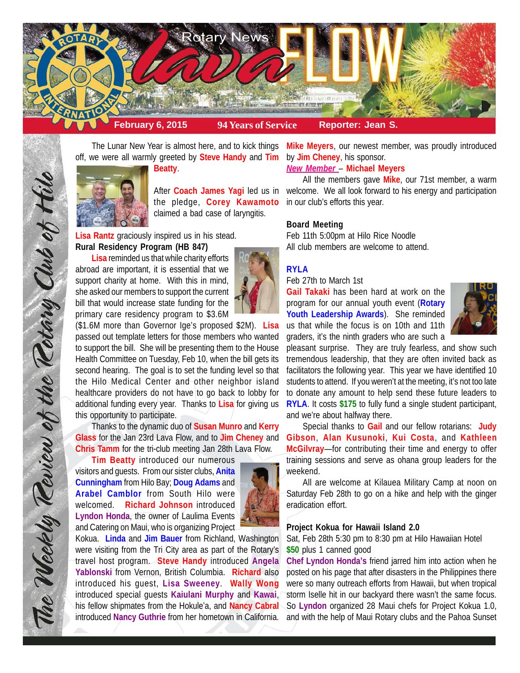

The Lunar New Year is almost here, and to kick things off, we were all warmly greeted by **Steve Handy** and **Tim**



**Beatty**.

the pledge, **Corey Kawamoto** claimed a bad case of laryngitis.

**Lisa Rantz** graciously inspired us in his stead. **Rural Residency Program (HB 847)**

**Lisa** reminded us that while charity efforts abroad are important, it is essential that we support charity at home. With this in mind, she asked our members to support the current bill that would increase state funding for the primary care residency program to \$3.6M



(\$1.6M more than Governor Ige's proposed \$2M). **Lisa** passed out template letters for those members who wanted to support the bill. She will be presenting them to the House Health Committee on Tuesday, Feb 10, when the bill gets its second hearing. The goal is to set the funding level so that the Hilo Medical Center and other neighbor island healthcare providers do not have to go back to lobby for additional funding every year. Thanks to **Lisa** for giving us this opportunity to participate.

Thanks to the dynamic duo of **Susan Munro** and **Kerry Glass** for the Jan 23rd Lava Flow, and to **Jim Cheney** and **Chris Tamm** for the tri-club meeting Jan 28th Lava Flow.

**Tim Beatty** introduced our numerous visitors and guests. From our sister clubs, **Anita Cunningham** from Hilo Bay; **Doug Adams** and **Arabel Camblor** from South Hilo were welcomed. **Richard Johnson** introduced **Lyndon Honda**, the owner of Laulima Events and Catering on Maui, who is organizing Project



**Mike Meyers**, our newest member, was proudly introduced by **Jim Cheney**, his sponsor.

# *New Member* – **Michael Meyers**

After **Coach James Yagi** led us in welcome. We all look forward to his energy and participation All the members gave **Mike**, our 71st member, a warm in our club's efforts this year.

### **Board Meeting**

Feb 11th 5:00pm at Hilo Rice Noodle All club members are welcome to attend.

# **RYLA**

### Feb 27th to March 1st

**Gail Takaki** has been hard at work on the program for our annual youth event (**Rotary Youth Leadership Awards**). She reminded us that while the focus is on 10th and 11th graders, it's the ninth graders who are such a



pleasant surprise. They are truly fearless, and show such tremendous leadership, that they are often invited back as facilitators the following year. This year we have identified 10 students to attend. If you weren't at the meeting, it's not too late to donate any amount to help send these future leaders to **RYLA**. It costs **\$175** to fully fund a single student participant, and we're about halfway there.

Special thanks to **Gail** and our fellow rotarians: **Judy Gibson**, **Alan Kusunoki**, **Kui Costa**, and **Kathleen McGilvray**—for contributing their time and energy to offer training sessions and serve as ohana group leaders for the weekend.

All are welcome at Kilauea Military Camp at noon on Saturday Feb 28th to go on a hike and help with the ginger eradication effort.

#### **Project Kokua for Hawaii Island 2.0**

Sat, Feb 28th 5:30 pm to 8:30 pm at Hilo Hawaiian Hotel **\$50** plus 1 canned good

**Chef Lyndon Honda's** friend jarred him into action when he posted on his page that after disasters in the Philippines there were so many outreach efforts from Hawaii, but when tropical storm Iselle hit in our backyard there wasn't the same focus. So **Lyndon** organized 28 Maui chefs for Project Kokua 1.0, and with the help of Maui Rotary clubs and the Pahoa Sunset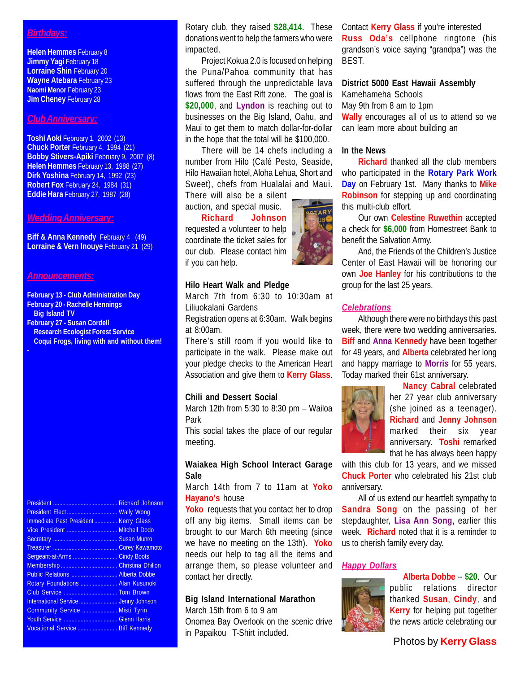## *Birthdays:*

**Helen Hemmes** February 8 **Jimmy Yagi February 18 Lorraine Shin February 20 Wayne Atebara** February 23 **Naomi Menor** February 23 **Jim Cheney February 28** 

#### *Club Anniversary:*

**Toshi Aoki** February 1, 2002 (13) **Chuck Porter** February 4, 1994 (21) **Bobby Stivers-Apiki** February 9, 2007 (8) **Helen Hemmes** February 13, 1988 (27) **Dirk Yoshina** February 14, 1992 (23) **Robert Fox** February 24, 1984 (31) **Eddie Hara** February 27, 1987 (28)

#### *Wedding Anniversary:*

**Biff & Anna Kennedy February 4 (49) Lorraine & Vern Inouye** February 21 (29)

#### *Announcements:*

**February 13 - Club Administration Day February 20 - Rachelle Hennings**

- **Big Island TV**
- **February 27 Susan Cordell**
- **Research Ecologist Forest Service Coqui Frogs, living with and without them!**

President .......................................... Richard Johnson President Elect ................................. Wally Wong Immediate Past President ............... Kerry Glass Vice President ................................. Mitchell Dodo Secretary .......................................... Susan Munro Treasurer .......................................... Corey Kawamoto Sergeant-at-Arms ............................. Cindy Boots Membership ..................................... Christina Dhillon Public Relations .............................. Alberta Dobbe Rotary Foundations ........................ Alan Kusunoki Club Service ................................... Tom Brown International Service ......................... Jenny Johnson Community Service ....................... Misti Tyrin Youth Service ................................... Glenn Harris Vocational Service .......................... Biff Kennedy

Rotary club, they raised **\$28,414**. These donations went to help the farmers who were impacted.

Project Kokua 2.0 is focused on helping the Puna/Pahoa community that has suffered through the unpredictable lava flows from the East Rift zone. The goal is **\$20,000**, and **Lyndon** is reaching out to businesses on the Big Island, Oahu, and Maui to get them to match dollar-for-dollar in the hope that the total will be \$100,000.

There will be 14 chefs including a number from Hilo (Café Pesto, Seaside, Hilo Hawaiian hotel, Aloha Lehua, Short and Sweet), chefs from Hualalai and Maui. There will also be a silent

auction, and special music. **Richard Johnson**

requested a volunteer to help coordinate the ticket sales for our club. Please contact him if you can help.

## **Hilo Heart Walk and Pledge**

March 7th from 6:30 to 10:30am at Liliuokalani Gardens

Registration opens at 6:30am. Walk begins at 8:00am.

There's still room if you would like to participate in the walk. Please make out your pledge checks to the American Heart Association and give them to **Kerry Glass**.

## **Chili and Dessert Social**

March 12th from 5:30 to 8:30 pm – Wailoa Park

This social takes the place of our regular meeting.

## **Waiakea High School Interact Garage Sale**

March 14th from 7 to 11am at **Yoko Hayano's** house

**Yoko** requests that you contact her to drop off any big items. Small items can be brought to our March 6th meeting (since we have no meeting on the 13th). **Yoko** needs our help to tag all the items and arrange them, so please volunteer and contact her directly.

## **Big Island International Marathon**

March 15th from 6 to 9 am Onomea Bay Overlook on the scenic drive in Papaikou T-Shirt included.

Contact **Kerry Glass** if you're interested **Russ Oda's** cellphone ringtone (his grandson's voice saying "grandpa") was the BEST.

# **District 5000 East Hawaii Assembly**

Kamehameha Schools May 9th from 8 am to 1pm **Wally** encourages all of us to attend so we can learn more about building an

#### **In the News**

**Richard** thanked all the club members who participated in the **Rotary Park Work Day** on February 1st. Many thanks to **Mike Robinson** for stepping up and coordinating this multi-club effort.

Our own **Celestine Ruwethin** accepted a check for **\$6,000** from Homestreet Bank to benefit the Salvation Army.

And, the Friends of the Children's Justice Center of East Hawaii will be honoring our own **Joe Hanley** for his contributions to the group for the last 25 years.

#### *Celebrations*

Although there were no birthdays this past week, there were two wedding anniversaries. **Biff** and **Anna Kennedy** have been together for 49 years, and **Alberta** celebrated her long and happy marriage to **Morris** for 55 years. Today marked their 61st anniversary.



**Nancy Cabral** celebrated her 27 year club anniversary (she joined as a teenager). **Richard** and **Jenny Johnson** marked their six year anniversary. **Toshi** remarked that he has always been happy

with this club for 13 years, and we missed **Chuck Porter** who celebrated his 21st club anniversary.

All of us extend our heartfelt sympathy to **Sandra Song** on the passing of her stepdaughter, **Lisa Ann Song**, earlier this week. **Richard** noted that it is a reminder to us to cherish family every day.

# *Happy Dollars*



**Alberta Dobbe** -- **\$20**. Our public relations director thanked **Susan**, **Cindy**, and **Kerry** for helping put together the news article celebrating our